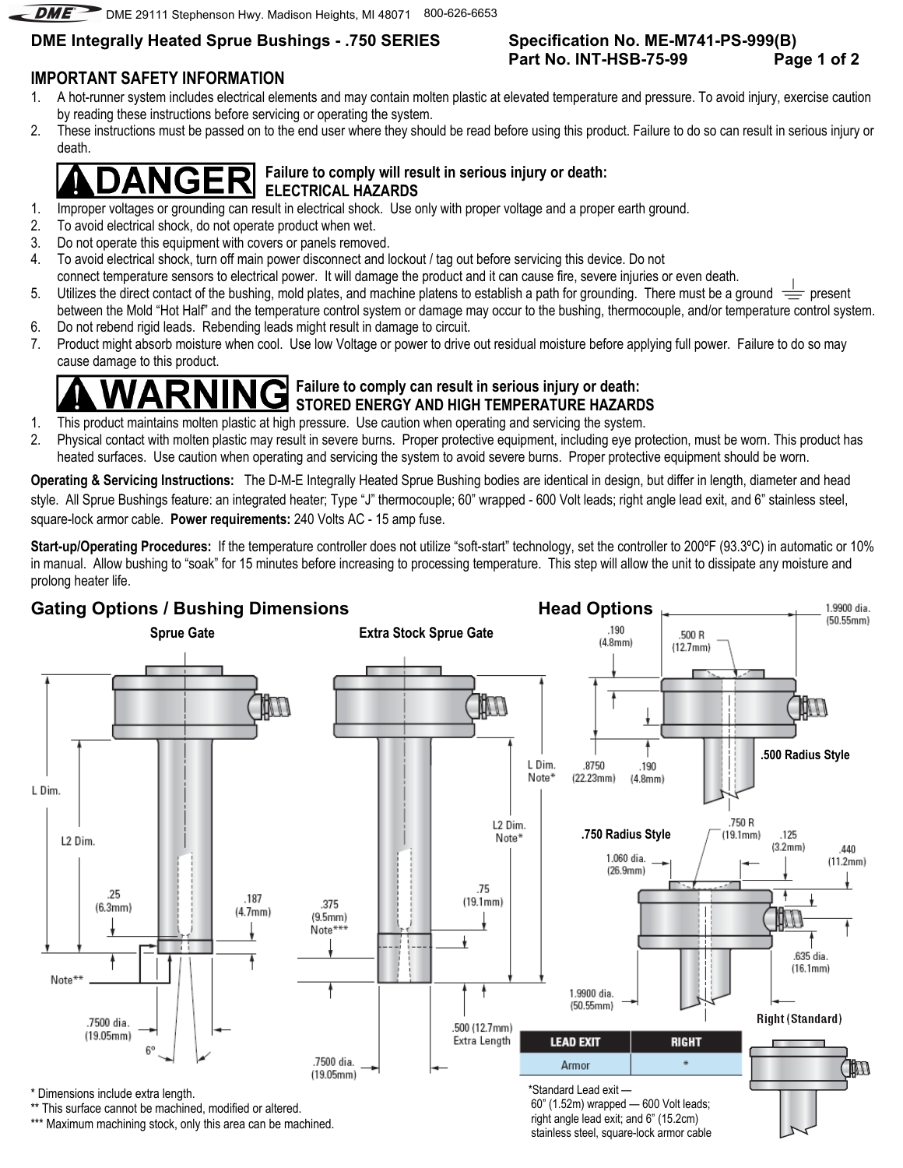DME<sup>2</sup> DME 29111 Stephenson Hwy. Madison Heights, MI 48071 800-626-6653

## **DME Integrally Heated Sprue Bushings - .750 SERIES**

# **IMPORTANT SAFETY INFORMATION**

1. A hot-runner system includes electrical elements and may contain molten plastic at elevated temperature and pressure. To avoid injury, exercise caution by reading these instructions before servicing or operating the system.

**Specification No. ME-M741-PS-999(B)** 

**Part No. INT-HSB-75-99 Page 1 of 2**

2. These instructions must be passed on to the end user where they should be read before using this product. Failure to do so can result in serious injury or death.

### **Failure to comply will result in serious injury or death:**  IGE  **ELECTRICAL HAZARDS**

- 1. Improper voltages or grounding can result in electrical shock. Use only with proper voltage and a proper earth ground.
- 2. To avoid electrical shock, do not operate product when wet.
- 3. Do not operate this equipment with covers or panels removed.
- 4. To avoid electrical shock, turn off main power disconnect and lockout / tag out before servicing this device. Do not
- connect temperature sensors to electrical power. It will damage the product and it can cause fire, severe injuries or even death.
- 5. Utilizes the direct contact of the bushing, mold plates, and machine platens to establish a path for grounding. There must be a ground  $\equiv$  present between the Mold "Hot Half" and the temperature control system or damage may occur to the bushing, thermocouple, and/or temperature control system.
- 6. Do not rebend rigid leads. Rebending leads might result in damage to circuit.
- 7. Product might absorb moisture when cool. Use low Voltage or power to drive out residual moisture before applying full power. Failure to do so may cause damage to this product.

### **Failure to comply can result in serious injury or death: STORED ENERGY AND HIGH TEMPERATURE HAZARDS**

- 1. This product maintains molten plastic at high pressure. Use caution when operating and servicing the system.
- 2. Physical contact with molten plastic may result in severe burns. Proper protective equipment, including eye protection, must be worn. This product has heated surfaces. Use caution when operating and servicing the system to avoid severe burns. Proper protective equipment should be worn.

**Operating & Servicing Instructions:** The D-M-E Integrally Heated Sprue Bushing bodies are identical in design, but differ in length, diameter and head style. All Sprue Bushings feature: an integrated heater; Type "J" thermocouple; 60" wrapped - 600 Volt leads; right angle lead exit, and 6" stainless steel, square-lock armor cable. **Power requirements:** 240 Volts AC - 15 amp fuse.

Start-up/Operating Procedures: If the temperature controller does not utilize "soft-start" technology, set the controller to 200°F (93.3°C) in automatic or 10% in manual. Allow bushing to "soak" for 15 minutes before increasing to processing temperature. This step will allow the unit to dissipate any moisture and prolong heater life.